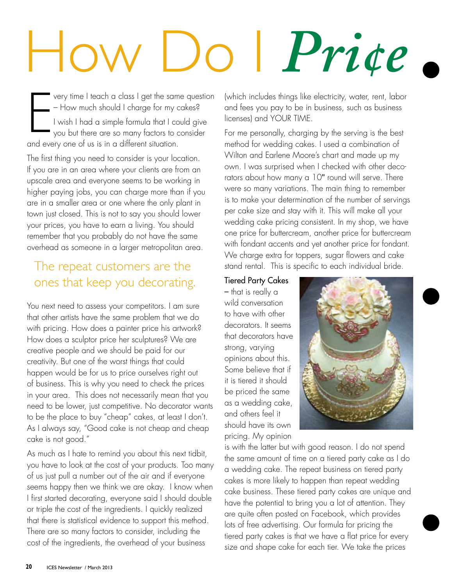## How Do I *Pri¢e* My Cakes?

very time I teach a class I get the sam<br>— How much should I charge for my c<br>— I wish I had a simple formula that I cc<br>— you but there are so many factors to c<br>— and every one of us is in a different situation. very time I teach a class I get the same question – How much should I charge for my cakes? I wish I had a simple formula that I could give you but there are so many factors to consider

The first thing you need to consider is your location. If you are in an area where your clients are from an upscale area and everyone seems to be working in higher paying jobs, you can charge more than if you are in a smaller area or one where the only plant in town just closed. This is not to say you should lower your prices, you have to earn a living. You should remember that you probably do not have the same overhead as someone in a larger metropolitan area.

## The repeat customers are the ones that keep you decorating.

You next need to assess your competitors. I am sure that other artists have the same problem that we do with pricing. How does a painter price his artwork? How does a sculptor price her sculptures? We are creative people and we should be paid for our creativity. But one of the worst things that could happen would be for us to price ourselves right out of business. This is why you need to check the prices in your area. This does not necessarily mean that you need to be lower, just competitive. No decorator wants to be the place to buy "cheap" cakes, at least I don't. As I always say, "Good cake is not cheap and cheap cake is not good."

As much as I hate to remind you about this next tidbit, you have to look at the cost of your products. Too many of us just pull a number out of the air and if everyone seems happy then we think we are okay. I know when I first started decorating, everyone said I should double or triple the cost of the ingredients. I quickly realized that there is statistical evidence to support this method. There are so many factors to consider, including the cost of the ingredients, the overhead of your business

(which includes things like electricity, water, rent, labor and fees you pay to be in business, such as business licenses) and YOUR TIME.

For me personally, charging by the serving is the best method for wedding cakes. I used a combination of Wilton and Earlene Moore's chart and made up my own. I was surprised when I checked with other decorators about how many a 10" round will serve. There were so many variations. The main thing to remember is to make your determination of the number of servings per cake size and stay with it. This will make all your wedding cake pricing consistent. In my shop, we have one price for buttercream, another price for buttercream with fondant accents and yet another price for fondant. We charge extra for toppers, sugar flowers and cake stand rental. This is specific to each individual bride.

## Tiered Party Cakes

– that is really a wild conversation to have with other decorators. It seems that decorators have strong, varying opinions about this. Some believe that if it is tiered it should be priced the same as a wedding cake, and others feel it should have its own pricing. My opinion



is with the latter but with good reason. I do not spend the same amount of time on a tiered party cake as I do a wedding cake. The repeat business on tiered party cakes is more likely to happen than repeat wedding cake business. These tiered party cakes are unique and have the potential to bring you a lot of attention. They are quite often posted on Facebook, which provides lots of free advertising. Our formula for pricing the tiered party cakes is that we have a flat price for every size and shape cake for each tier. We take the prices